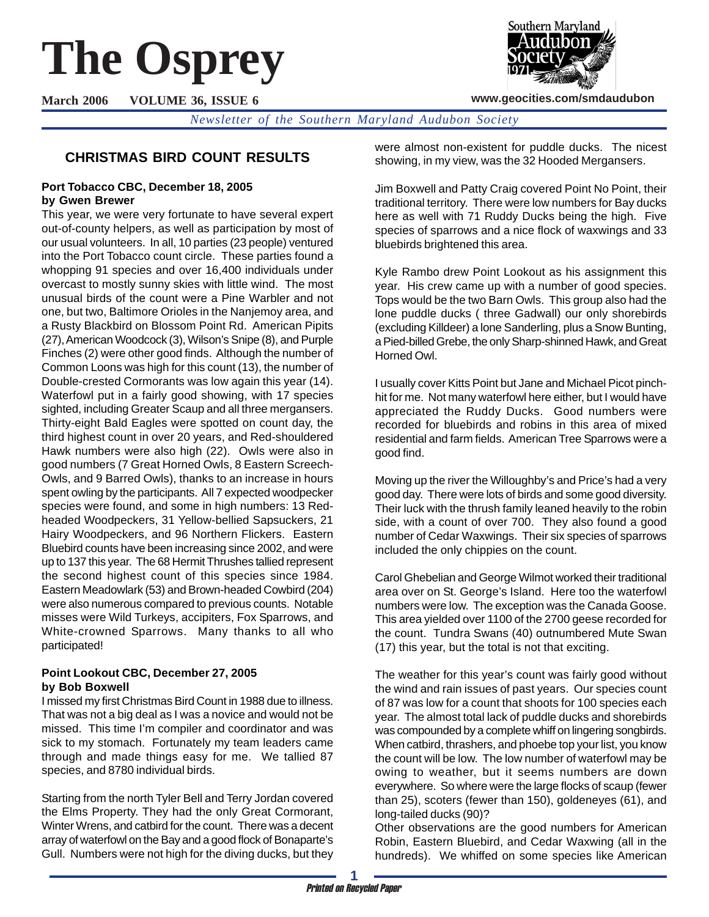# **The Osprey**

**March 2006 VOLUME 36, ISSUE 6**



**www.geocities.com/smdaudubon**

*Newsletter of the Southern Maryland Audubon Society*

# **CHRISTMAS BIRD COUNT RESULTS**

#### **Port Tobacco CBC, December 18, 2005 by Gwen Brewer**

This year, we were very fortunate to have several expert out-of-county helpers, as well as participation by most of our usual volunteers. In all, 10 parties (23 people) ventured into the Port Tobacco count circle. These parties found a whopping 91 species and over 16,400 individuals under overcast to mostly sunny skies with little wind. The most unusual birds of the count were a Pine Warbler and not one, but two, Baltimore Orioles in the Nanjemoy area, and a Rusty Blackbird on Blossom Point Rd. American Pipits (27), American Woodcock (3), Wilson's Snipe (8), and Purple Finches (2) were other good finds. Although the number of Common Loons was high for this count (13), the number of Double-crested Cormorants was low again this year (14). Waterfowl put in a fairly good showing, with 17 species sighted, including Greater Scaup and all three mergansers. Thirty-eight Bald Eagles were spotted on count day, the third highest count in over 20 years, and Red-shouldered Hawk numbers were also high (22). Owls were also in good numbers (7 Great Horned Owls, 8 Eastern Screech-Owls, and 9 Barred Owls), thanks to an increase in hours spent owling by the participants. All 7 expected woodpecker species were found, and some in high numbers: 13 Redheaded Woodpeckers, 31 Yellow-bellied Sapsuckers, 21 Hairy Woodpeckers, and 96 Northern Flickers. Eastern Bluebird counts have been increasing since 2002, and were up to 137 this year. The 68 Hermit Thrushes tallied represent the second highest count of this species since 1984. Eastern Meadowlark (53) and Brown-headed Cowbird (204) were also numerous compared to previous counts. Notable misses were Wild Turkeys, accipiters, Fox Sparrows, and White-crowned Sparrows. Many thanks to all who participated!

#### **Point Lookout CBC, December 27, 2005 by Bob Boxwell**

I missed my first Christmas Bird Count in 1988 due to illness. That was not a big deal as I was a novice and would not be missed. This time I'm compiler and coordinator and was sick to my stomach. Fortunately my team leaders came through and made things easy for me. We tallied 87 species, and 8780 individual birds.

Starting from the north Tyler Bell and Terry Jordan covered the Elms Property. They had the only Great Cormorant, Winter Wrens, and catbird for the count. There was a decent array of waterfowl on the Bay and a good flock of Bonaparte's Gull. Numbers were not high for the diving ducks, but they were almost non-existent for puddle ducks. The nicest showing, in my view, was the 32 Hooded Mergansers.

Jim Boxwell and Patty Craig covered Point No Point, their traditional territory. There were low numbers for Bay ducks here as well with 71 Ruddy Ducks being the high. Five species of sparrows and a nice flock of waxwings and 33 bluebirds brightened this area.

Kyle Rambo drew Point Lookout as his assignment this year. His crew came up with a number of good species. Tops would be the two Barn Owls. This group also had the lone puddle ducks ( three Gadwall) our only shorebirds (excluding Killdeer) a lone Sanderling, plus a Snow Bunting, a Pied-billed Grebe, the only Sharp-shinned Hawk, and Great Horned Owl.

I usually cover Kitts Point but Jane and Michael Picot pinchhit for me. Not many waterfowl here either, but I would have appreciated the Ruddy Ducks. Good numbers were recorded for bluebirds and robins in this area of mixed residential and farm fields. American Tree Sparrows were a good find.

Moving up the river the Willoughby's and Price's had a very good day. There were lots of birds and some good diversity. Their luck with the thrush family leaned heavily to the robin side, with a count of over 700. They also found a good number of Cedar Waxwings. Their six species of sparrows included the only chippies on the count.

Carol Ghebelian and George Wilmot worked their traditional area over on St. George's Island. Here too the waterfowl numbers were low. The exception was the Canada Goose. This area yielded over 1100 of the 2700 geese recorded for the count. Tundra Swans (40) outnumbered Mute Swan (17) this year, but the total is not that exciting.

The weather for this year's count was fairly good without the wind and rain issues of past years. Our species count of 87 was low for a count that shoots for 100 species each year. The almost total lack of puddle ducks and shorebirds was compounded by a complete whiff on lingering songbirds. When catbird, thrashers, and phoebe top your list, you know the count will be low. The low number of waterfowl may be owing to weather, but it seems numbers are down everywhere. So where were the large flocks of scaup (fewer than 25), scoters (fewer than 150), goldeneyes (61), and long-tailed ducks (90)?

Other observations are the good numbers for American Robin, Eastern Bluebird, and Cedar Waxwing (all in the hundreds). We whiffed on some species like American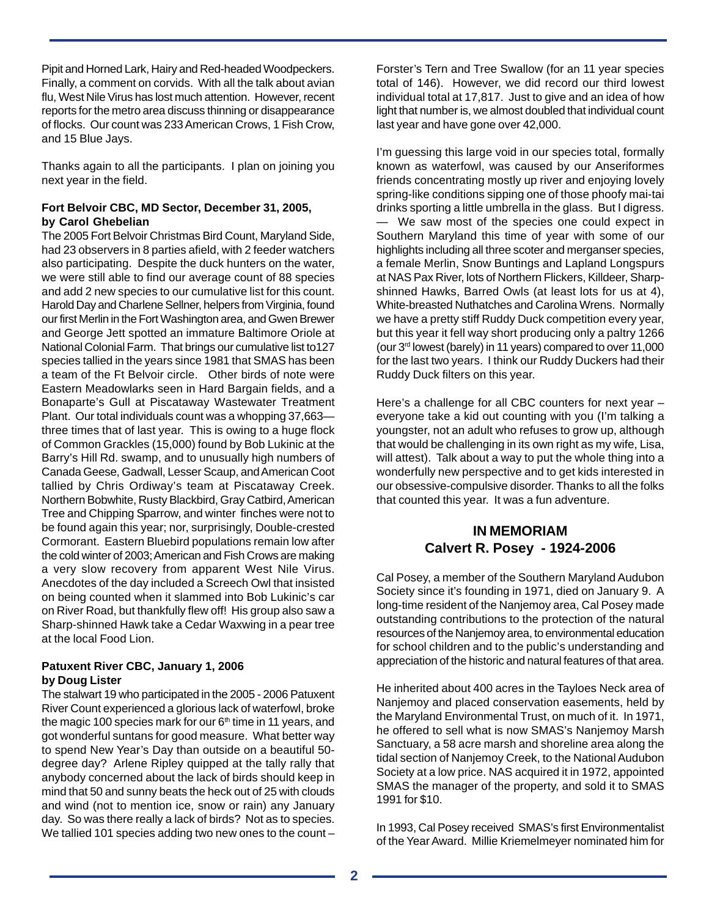Pipit and Horned Lark, Hairy and Red-headed Woodpeckers. Finally, a comment on corvids. With all the talk about avian flu, West Nile Virus has lost much attention. However, recent reports for the metro area discuss thinning or disappearance of flocks. Our count was 233 American Crows, 1 Fish Crow, and 15 Blue Jays.

Thanks again to all the participants. I plan on joining you next year in the field.

#### **Fort Belvoir CBC, MD Sector, December 31, 2005, by Carol Ghebelian**

The 2005 Fort Belvoir Christmas Bird Count, Maryland Side, had 23 observers in 8 parties afield, with 2 feeder watchers also participating. Despite the duck hunters on the water, we were still able to find our average count of 88 species and add 2 new species to our cumulative list for this count. Harold Day and Charlene Sellner, helpers from Virginia, found our first Merlin in the Fort Washington area, and Gwen Brewer and George Jett spotted an immature Baltimore Oriole at National Colonial Farm. That brings our cumulative list to127 species tallied in the years since 1981 that SMAS has been a team of the Ft Belvoir circle. Other birds of note were Eastern Meadowlarks seen in Hard Bargain fields, and a Bonaparte's Gull at Piscataway Wastewater Treatment Plant. Our total individuals count was a whopping 37,663 three times that of last year. This is owing to a huge flock of Common Grackles (15,000) found by Bob Lukinic at the Barry's Hill Rd. swamp, and to unusually high numbers of Canada Geese, Gadwall, Lesser Scaup, and American Coot tallied by Chris Ordiway's team at Piscataway Creek. Northern Bobwhite, Rusty Blackbird, Gray Catbird, American Tree and Chipping Sparrow, and winter finches were not to be found again this year; nor, surprisingly, Double-crested Cormorant. Eastern Bluebird populations remain low after the cold winter of 2003; American and Fish Crows are making a very slow recovery from apparent West Nile Virus. Anecdotes of the day included a Screech Owl that insisted on being counted when it slammed into Bob Lukinic's car on River Road, but thankfully flew off! His group also saw a Sharp-shinned Hawk take a Cedar Waxwing in a pear tree at the local Food Lion.

#### **Patuxent River CBC, January 1, 2006 by Doug Lister**

The stalwart 19 who participated in the 2005 - 2006 Patuxent River Count experienced a glorious lack of waterfowl, broke the magic 100 species mark for our  $6<sup>th</sup>$  time in 11 years, and got wonderful suntans for good measure. What better way to spend New Year's Day than outside on a beautiful 50 degree day? Arlene Ripley quipped at the tally rally that anybody concerned about the lack of birds should keep in mind that 50 and sunny beats the heck out of 25 with clouds and wind (not to mention ice, snow or rain) any January day. So was there really a lack of birds? Not as to species. We tallied 101 species adding two new ones to the count –

Forster's Tern and Tree Swallow (for an 11 year species total of 146). However, we did record our third lowest individual total at 17,817. Just to give and an idea of how light that number is, we almost doubled that individual count last year and have gone over 42,000.

I'm guessing this large void in our species total, formally known as waterfowl, was caused by our Anseriformes friends concentrating mostly up river and enjoying lovely spring-like conditions sipping one of those phoofy mai-tai drinks sporting a little umbrella in the glass. But I digress. — We saw most of the species one could expect in Southern Maryland this time of year with some of our highlights including all three scoter and merganser species, a female Merlin, Snow Buntings and Lapland Longspurs at NAS Pax River, lots of Northern Flickers, Killdeer, Sharpshinned Hawks, Barred Owls (at least lots for us at 4), White-breasted Nuthatches and Carolina Wrens. Normally we have a pretty stiff Ruddy Duck competition every year, but this year it fell way short producing only a paltry 1266 (our 3rd lowest (barely) in 11 years) compared to over 11,000 for the last two years. I think our Ruddy Duckers had their Ruddy Duck filters on this year.

Here's a challenge for all CBC counters for next year everyone take a kid out counting with you (I'm talking a youngster, not an adult who refuses to grow up, although that would be challenging in its own right as my wife, Lisa, will attest). Talk about a way to put the whole thing into a wonderfully new perspective and to get kids interested in our obsessive-compulsive disorder. Thanks to all the folks that counted this year. It was a fun adventure.

#### **IN MEMORIAM Calvert R. Posey - 1924-2006**

Cal Posey, a member of the Southern Maryland Audubon Society since it's founding in 1971, died on January 9. A long-time resident of the Nanjemoy area, Cal Posey made outstanding contributions to the protection of the natural resources of the Nanjemoy area, to environmental education for school children and to the public's understanding and appreciation of the historic and natural features of that area.

He inherited about 400 acres in the Tayloes Neck area of Nanjemoy and placed conservation easements, held by the Maryland Environmental Trust, on much of it. In 1971, he offered to sell what is now SMAS's Nanjemoy Marsh Sanctuary, a 58 acre marsh and shoreline area along the tidal section of Nanjemoy Creek, to the National Audubon Society at a low price. NAS acquired it in 1972, appointed SMAS the manager of the property, and sold it to SMAS 1991 for \$10.

In 1993, Cal Posey received SMAS's first Environmentalist of the Year Award. Millie Kriemelmeyer nominated him for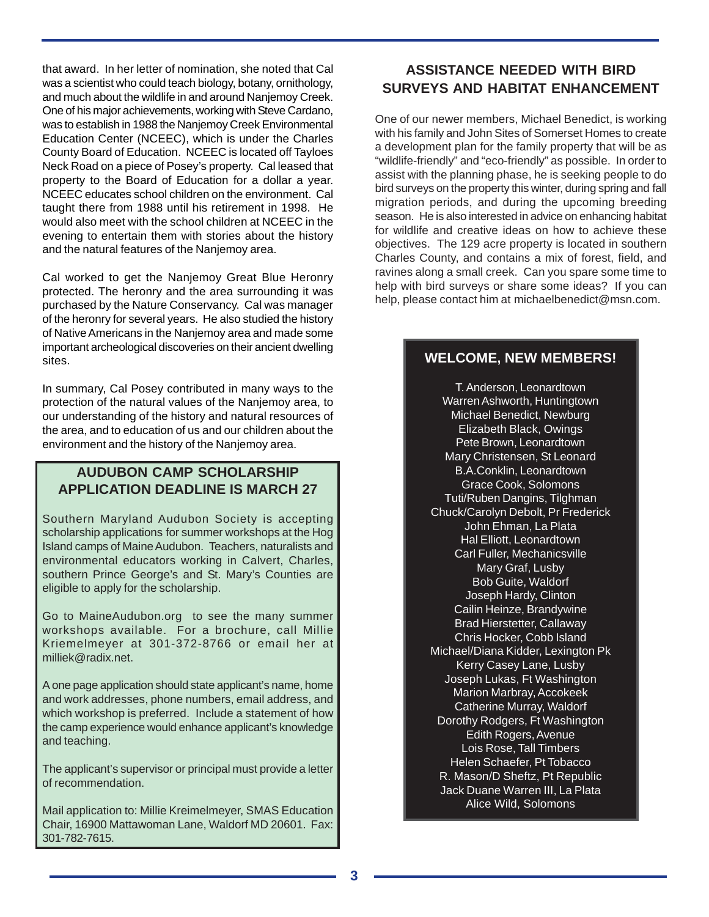that award. In her letter of nomination, she noted that Cal was a scientist who could teach biology, botany, ornithology, and much about the wildlife in and around Nanjemoy Creek. One of his major achievements, working with Steve Cardano, was to establish in 1988 the Nanjemoy Creek Environmental Education Center (NCEEC), which is under the Charles County Board of Education. NCEEC is located off Tayloes Neck Road on a piece of Posey's property. Cal leased that property to the Board of Education for a dollar a year. NCEEC educates school children on the environment. Cal taught there from 1988 until his retirement in 1998. He would also meet with the school children at NCEEC in the evening to entertain them with stories about the history and the natural features of the Nanjemoy area.

Cal worked to get the Nanjemoy Great Blue Heronry protected. The heronry and the area surrounding it was purchased by the Nature Conservancy. Cal was manager of the heronry for several years. He also studied the history of Native Americans in the Nanjemoy area and made some important archeological discoveries on their ancient dwelling sites.

In summary, Cal Posey contributed in many ways to the protection of the natural values of the Nanjemoy area, to our understanding of the history and natural resources of the area, and to education of us and our children about the environment and the history of the Nanjemoy area.

## **AUDUBON CAMP SCHOLARSHIP APPLICATION DEADLINE IS MARCH 27**

Southern Maryland Audubon Society is accepting scholarship applications for summer workshops at the Hog Island camps of Maine Audubon. Teachers, naturalists and environmental educators working in Calvert, Charles, southern Prince George's and St. Mary's Counties are eligible to apply for the scholarship.

Go to MaineAudubon.org to see the many summer workshops available. For a brochure, call Millie Kriemelmeyer at 301-372-8766 or email her at milliek@radix.net.

A one page application should state applicant's name, home and work addresses, phone numbers, email address, and which workshop is preferred. Include a statement of how the camp experience would enhance applicant's knowledge and teaching.

The applicant's supervisor or principal must provide a letter of recommendation.

Mail application to: Millie Kreimelmeyer, SMAS Education Chair, 16900 Mattawoman Lane, Waldorf MD 20601. Fax: 301-782-7615.

# **ASSISTANCE NEEDED WITH BIRD SURVEYS AND HABITAT ENHANCEMENT**

One of our newer members, Michael Benedict, is working with his family and John Sites of Somerset Homes to create a development plan for the family property that will be as "wildlife-friendly" and "eco-friendly" as possible. In order to assist with the planning phase, he is seeking people to do bird surveys on the property this winter, during spring and fall migration periods, and during the upcoming breeding season. He is also interested in advice on enhancing habitat for wildlife and creative ideas on how to achieve these objectives. The 129 acre property is located in southern Charles County, and contains a mix of forest, field, and ravines along a small creek. Can you spare some time to help with bird surveys or share some ideas? If you can help, please contact him at michaelbenedict@msn.com.

# **WELCOME, NEW MEMBERS!**

T. Anderson, Leonardtown Warren Ashworth, Huntingtown Michael Benedict, Newburg Elizabeth Black, Owings Pete Brown, Leonardtown Mary Christensen, St Leonard B.A.Conklin, Leonardtown Grace Cook, Solomons Tuti/Ruben Dangins, Tilghman Chuck/Carolyn Debolt, Pr Frederick John Ehman, La Plata Hal Elliott, Leonardtown Carl Fuller, Mechanicsville Mary Graf, Lusby Bob Guite, Waldorf Joseph Hardy, Clinton Cailin Heinze, Brandywine Brad Hierstetter, Callaway Chris Hocker, Cobb Island Michael/Diana Kidder, Lexington Pk Kerry Casey Lane, Lusby Joseph Lukas, Ft Washington Marion Marbray, Accokeek Catherine Murray, Waldorf Dorothy Rodgers, Ft Washington Edith Rogers, Avenue Lois Rose, Tall Timbers Helen Schaefer, Pt Tobacco R. Mason/D Sheftz, Pt Republic Jack Duane Warren III, La Plata Alice Wild, Solomons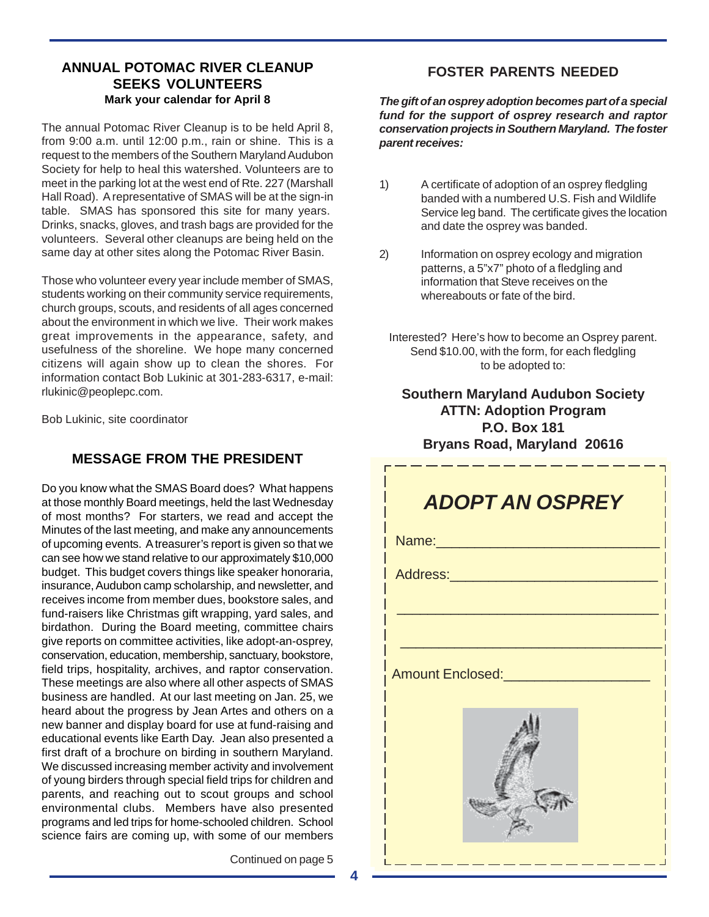# **ANNUAL POTOMAC RIVER CLEANUP SEEKS VOLUNTEERS Mark your calendar for April 8**

The annual Potomac River Cleanup is to be held April 8, from 9:00 a.m. until 12:00 p.m., rain or shine. This is a request to the members of the Southern Maryland Audubon Society for help to heal this watershed. Volunteers are to meet in the parking lot at the west end of Rte. 227 (Marshall Hall Road). A representative of SMAS will be at the sign-in table. SMAS has sponsored this site for many years. Drinks, snacks, gloves, and trash bags are provided for the volunteers. Several other cleanups are being held on the same day at other sites along the Potomac River Basin.

Those who volunteer every year include member of SMAS, students working on their community service requirements, church groups, scouts, and residents of all ages concerned about the environment in which we live. Their work makes great improvements in the appearance, safety, and usefulness of the shoreline. We hope many concerned citizens will again show up to clean the shores. For information contact Bob Lukinic at 301-283-6317, e-mail: rlukinic@peoplepc.com.

Bob Lukinic, site coordinator

# **MESSAGE FROM THE PRESIDENT**

Do you know what the SMAS Board does? What happens at those monthly Board meetings, held the last Wednesday of most months? For starters, we read and accept the Minutes of the last meeting, and make any announcements of upcoming events. A treasurer's report is given so that we can see how we stand relative to our approximately \$10,000 budget. This budget covers things like speaker honoraria, insurance, Audubon camp scholarship, and newsletter, and receives income from member dues, bookstore sales, and fund-raisers like Christmas gift wrapping, yard sales, and birdathon. During the Board meeting, committee chairs give reports on committee activities, like adopt-an-osprey, conservation, education, membership, sanctuary, bookstore, field trips, hospitality, archives, and raptor conservation. These meetings are also where all other aspects of SMAS business are handled. At our last meeting on Jan. 25, we heard about the progress by Jean Artes and others on a new banner and display board for use at fund-raising and educational events like Earth Day. Jean also presented a first draft of a brochure on birding in southern Maryland. We discussed increasing member activity and involvement of young birders through special field trips for children and parents, and reaching out to scout groups and school environmental clubs. Members have also presented programs and led trips for home-schooled children. School science fairs are coming up, with some of our members **FOSTER PARENTS NEEDED**

*The gift of an osprey adoption becomes part of a special fund for the support of osprey research and raptor conservation projects in Southern Maryland. The foster parent receives:*

- 1) A certificate of adoption of an osprey fledgling banded with a numbered U.S. Fish and Wildlife Service leg band. The certificate gives the location and date the osprey was banded.
- 2) Information on osprey ecology and migration patterns, a 5"x7" photo of a fledgling and information that Steve receives on the whereabouts or fate of the bird.
	- Interested? Here's how to become an Osprey parent. Send \$10.00, with the form, for each fledgling to be adopted to:

#### **Southern Maryland Audubon Society ATTN: Adoption Program P.O. Box 181 Bryans Road, Maryland 20616**



Continued on page 5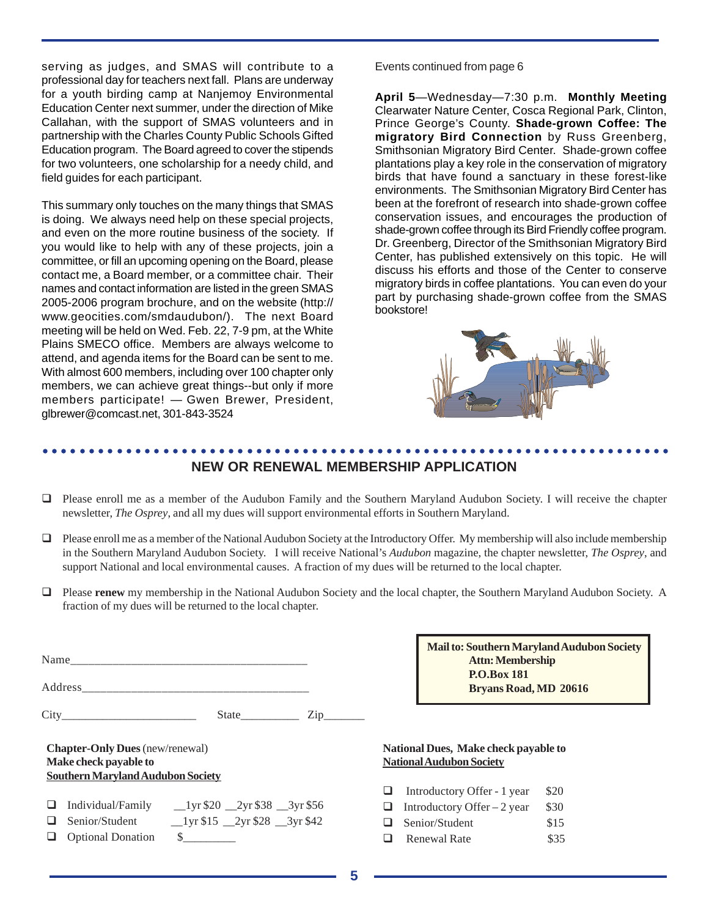serving as judges, and SMAS will contribute to a professional day for teachers next fall. Plans are underway for a youth birding camp at Nanjemoy Environmental Education Center next summer, under the direction of Mike Callahan, with the support of SMAS volunteers and in partnership with the Charles County Public Schools Gifted Education program. The Board agreed to cover the stipends for two volunteers, one scholarship for a needy child, and field guides for each participant.

This summary only touches on the many things that SMAS is doing. We always need help on these special projects, and even on the more routine business of the society. If you would like to help with any of these projects, join a committee, or fill an upcoming opening on the Board, please contact me, a Board member, or a committee chair. Their names and contact information are listed in the green SMAS 2005-2006 program brochure, and on the website (http:// www.geocities.com/smdaudubon/). The next Board meeting will be held on Wed. Feb. 22, 7-9 pm, at the White Plains SMECO office. Members are always welcome to attend, and agenda items for the Board can be sent to me. With almost 600 members, including over 100 chapter only members, we can achieve great things--but only if more members participate! — Gwen Brewer, President, glbrewer@comcast.net, 301-843-3524

Events continued from page 6

**April 5**—Wednesday—7:30 p.m. **Monthly Meeting** Clearwater Nature Center, Cosca Regional Park, Clinton, Prince George's County. **Shade-grown Coffee: The migratory Bird Connection** by Russ Greenberg, Smithsonian Migratory Bird Center. Shade-grown coffee plantations play a key role in the conservation of migratory birds that have found a sanctuary in these forest-like environments. The Smithsonian Migratory Bird Center has been at the forefront of research into shade-grown coffee conservation issues, and encourages the production of shade-grown coffee through its Bird Friendly coffee program. Dr. Greenberg, Director of the Smithsonian Migratory Bird Center, has published extensively on this topic. He will discuss his efforts and those of the Center to conserve migratory birds in coffee plantations. You can even do your part by purchasing shade-grown coffee from the SMAS bookstore!



#### ○○○○○○○○○○○○○○○○○○○○○○○○○○○○○○○○○○○○○○○○○○○○○ ○○○○○○○○○○○○○○○○○○○○○○○ **NEW OR RENEWAL MEMBERSHIP APPLICATION**

- Please enroll me as a member of the Audubon Family and the Southern Maryland Audubon Society. I will receive the chapter newsletter, *The Osprey*, and all my dues will support environmental efforts in Southern Maryland.
- Please enroll me as a member of the National Audubon Society at the Introductory Offer.My membership will also include membership in the Southern Maryland Audubon Society. I will receive National's *Audubon* magazine, the chapter newsletter, *The Osprey*, and support National and local environmental causes. A fraction of my dues will be returned to the local chapter.
- Please **renew** my membership in the National Audubon Society and the local chapter, the Southern Maryland Audubon Society. A fraction of my dues will be returned to the local chapter.

|                                                                                                      | Name                     |                                                           |  |
|------------------------------------------------------------------------------------------------------|--------------------------|-----------------------------------------------------------|--|
|                                                                                                      |                          |                                                           |  |
|                                                                                                      |                          | $State$ $Zip$                                             |  |
| <b>Chapter-Only Dues</b> (new/renewal)<br>Make check payable to<br>Southern Maryland Audubon Society |                          |                                                           |  |
|                                                                                                      |                          | $\Box$ Individual/Family __1yr \$20 __2yr \$38 __3yr \$56 |  |
|                                                                                                      |                          | Senior/Student 1yr \$15 2yr \$28 3yr \$42                 |  |
| ப                                                                                                    | <b>Optional Donation</b> | <b>S</b>                                                  |  |

**Mail to: Southern Maryland Audubon Society Attn: Membership P.O.Box 181 Bryans Road, MD 20616**

#### **National Dues, Make check payable to National Audubon Society**

- **I** Introductory Offer 1 year  $$20$
- **Introductory Offer** 2 year  $$30$  $\Box$  Senior/Student \$15
- 
- **a** Renewal Rate \$35